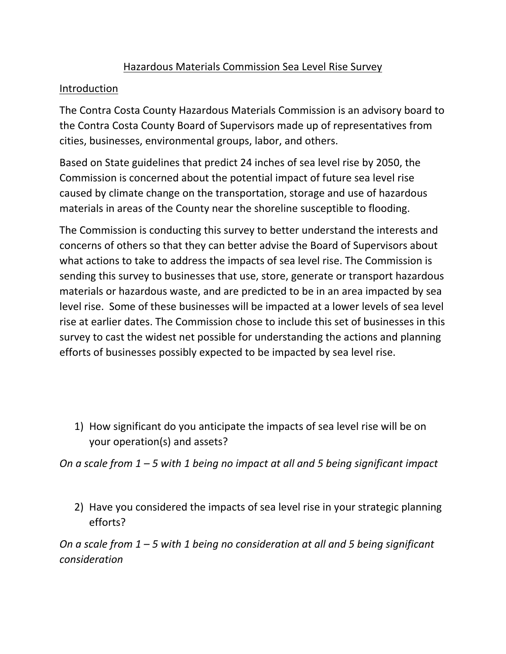## Hazardous Materials Commission Sea Level Rise Survey

## **Introduction**

The Contra Costa County Hazardous Materials Commission is an advisory board to the Contra Costa County Board of Supervisors made up of representatives from cities, businesses, environmental groups, labor, and others.

Based on State guidelines that predict 24 inches of sea level rise by 2050, the Commission is concerned about the potential impact of future sea level rise caused by climate change on the transportation, storage and use of hazardous materials in areas of the County near the shoreline susceptible to flooding.

The Commission is conducting this survey to better understand the interests and concerns of others so that they can better advise the Board of Supervisors about what actions to take to address the impacts of sea level rise. The Commission is sending this survey to businesses that use, store, generate or transport hazardous materials or hazardous waste, and are predicted to be in an area impacted by sea level rise. Some of these businesses will be impacted at a lower levels of sea level rise at earlier dates. The Commission chose to include this set of businesses in this survey to cast the widest net possible for understanding the actions and planning efforts of businesses possibly expected to be impacted by sea level rise.

1) How significant do you anticipate the impacts of sea level rise will be on your operation(s) and assets?

*On a scale from 1 – 5 with 1 being no impact at all and 5 being significant impact*

2) Have you considered the impacts of sea level rise in your strategic planning efforts?

*On a scale from 1 – 5 with 1 being no consideration at all and 5 being significant consideration*